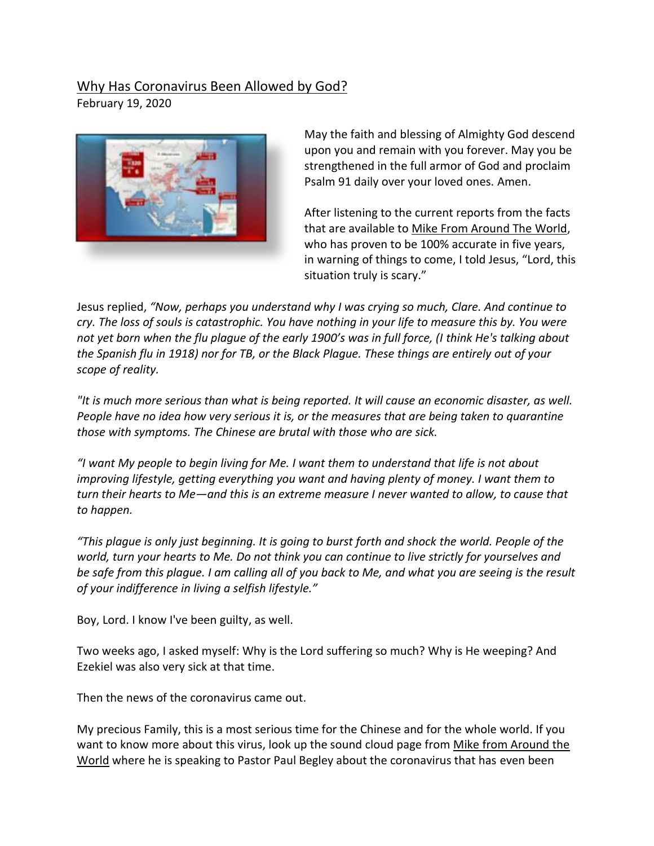## Why Has Coronavirus Been Allowed by God?

February 19, 2020



May the faith and blessing of Almighty God descend upon you and remain with you forever. May you be strengthened in the full armor of God and proclaim Psalm 91 daily over your loved ones. Amen.

After listening to the current reports from the facts that are available to Mike From Around The World, who has proven to be 100% accurate in five years, in warning of things to come, I told Jesus, "Lord, this situation truly is scary."

Jesus replied, *"Now, perhaps you understand why I was crying so much, Clare. And continue to cry. The loss of souls is catastrophic. You have nothing in your life to measure this by. You were not yet born when the flu plague of the early 1900's was in full force, (I think He's talking about the Spanish flu in 1918) nor for TB, or the Black Plague. These things are entirely out of your scope of reality.* 

*"It is much more serious than what is being reported. It will cause an economic disaster, as well. People have no idea how very serious it is, or the measures that are being taken to quarantine those with symptoms. The Chinese are brutal with those who are sick.*

*"I want My people to begin living for Me. I want them to understand that life is not about improving lifestyle, getting everything you want and having plenty of money. I want them to turn their hearts to Me—and this is an extreme measure I never wanted to allow, to cause that to happen.*

*"This plague is only just beginning. It is going to burst forth and shock the world. People of the world, turn your hearts to Me. Do not think you can continue to live strictly for yourselves and be safe from this plague. I am calling all of you back to Me, and what you are seeing is the result of your indifference in living a selfish lifestyle."* 

Boy, Lord. I know I've been guilty, as well.

Two weeks ago, I asked myself: Why is the Lord suffering so much? Why is He weeping? And Ezekiel was also very sick at that time.

Then the news of the coronavirus came out.

My precious Family, this is a most serious time for the Chinese and for the whole world. If you want to know more about this virus, look up the sound cloud page from Mike from Around the World where he is speaking to Pastor Paul Begley about the coronavirus that has even been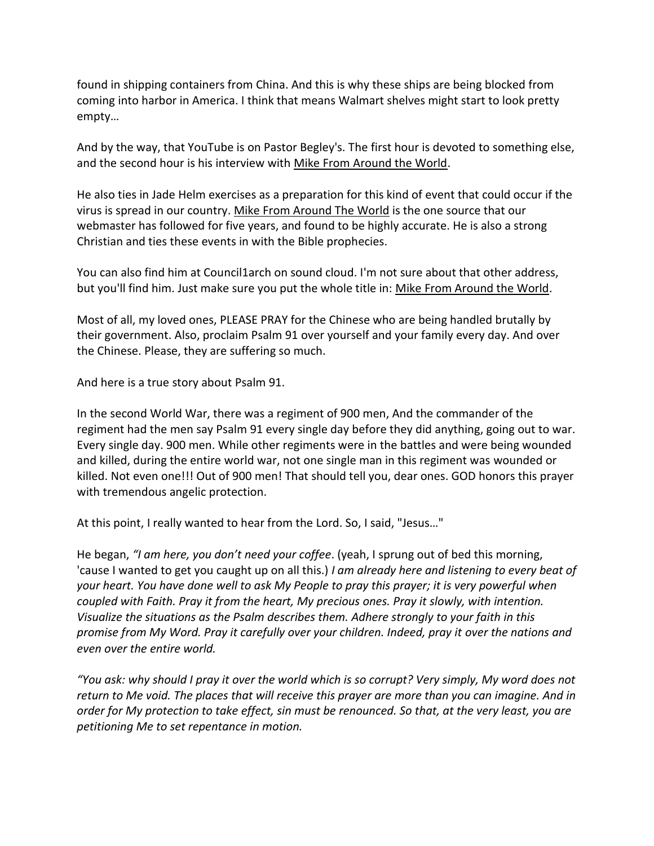found in shipping containers from China. And this is why these ships are being blocked from coming into harbor in America. I think that means Walmart shelves might start to look pretty empty…

And by the way, that YouTube is on Pastor Begley's. The first hour is devoted to something else, and the second hour is his interview with Mike From Around the World.

He also ties in Jade Helm exercises as a preparation for this kind of event that could occur if the virus is spread in our country. Mike From Around The World is the one source that our webmaster has followed for five years, and found to be highly accurate. He is also a strong Christian and ties these events in with the Bible prophecies.

You can also find him at Council1arch on sound cloud. I'm not sure about that other address, but you'll find him. Just make sure you put the whole title in: Mike From Around the World.

Most of all, my loved ones, PLEASE PRAY for the Chinese who are being handled brutally by their government. Also, proclaim Psalm 91 over yourself and your family every day. And over the Chinese. Please, they are suffering so much.

And here is a true story about Psalm 91.

In the second World War, there was a regiment of 900 men, And the commander of the regiment had the men say Psalm 91 every single day before they did anything, going out to war. Every single day. 900 men. While other regiments were in the battles and were being wounded and killed, during the entire world war, not one single man in this regiment was wounded or killed. Not even one!!! Out of 900 men! That should tell you, dear ones. GOD honors this prayer with tremendous angelic protection.

At this point, I really wanted to hear from the Lord. So, I said, "Jesus…"

He began, *"I am here, you don't need your coffee*. (yeah, I sprung out of bed this morning, 'cause I wanted to get you caught up on all this.) *I am already here and listening to every beat of your heart. You have done well to ask My People to pray this prayer; it is very powerful when coupled with Faith. Pray it from the heart, My precious ones. Pray it slowly, with intention. Visualize the situations as the Psalm describes them. Adhere strongly to your faith in this promise from My Word. Pray it carefully over your children. Indeed, pray it over the nations and even over the entire world.*

*"You ask: why should I pray it over the world which is so corrupt? Very simply, My word does not return to Me void. The places that will receive this prayer are more than you can imagine. And in order for My protection to take effect, sin must be renounced. So that, at the very least, you are petitioning Me to set repentance in motion.*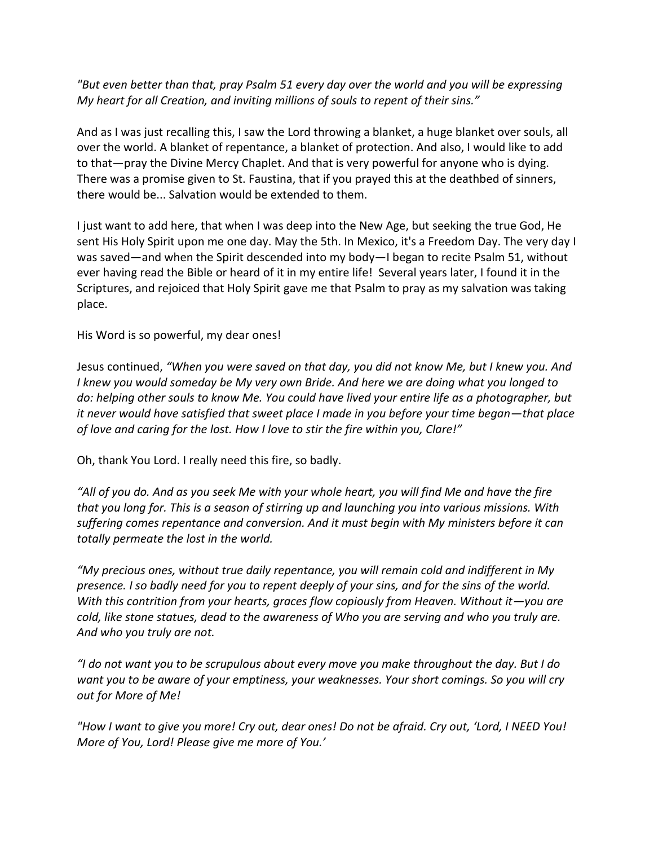*"But even better than that, pray Psalm 51 every day over the world and you will be expressing My heart for all Creation, and inviting millions of souls to repent of their sins."* 

And as I was just recalling this, I saw the Lord throwing a blanket, a huge blanket over souls, all over the world. A blanket of repentance, a blanket of protection. And also, I would like to add to that—pray the Divine Mercy Chaplet. And that is very powerful for anyone who is dying. There was a promise given to St. Faustina, that if you prayed this at the deathbed of sinners, there would be... Salvation would be extended to them.

I just want to add here, that when I was deep into the New Age, but seeking the true God, He sent His Holy Spirit upon me one day. May the 5th. In Mexico, it's a Freedom Day. The very day I was saved—and when the Spirit descended into my body—I began to recite Psalm 51, without ever having read the Bible or heard of it in my entire life! Several years later, I found it in the Scriptures, and rejoiced that Holy Spirit gave me that Psalm to pray as my salvation was taking place.

His Word is so powerful, my dear ones!

Jesus continued, *"When you were saved on that day, you did not know Me, but I knew you. And I knew you would someday be My very own Bride. And here we are doing what you longed to do: helping other souls to know Me. You could have lived your entire life as a photographer, but it never would have satisfied that sweet place I made in you before your time began—that place of love and caring for the lost. How I love to stir the fire within you, Clare!"*

Oh, thank You Lord. I really need this fire, so badly.

*"All of you do. And as you seek Me with your whole heart, you will find Me and have the fire that you long for. This is a season of stirring up and launching you into various missions. With suffering comes repentance and conversion. And it must begin with My ministers before it can totally permeate the lost in the world.* 

*"My precious ones, without true daily repentance, you will remain cold and indifferent in My presence. I so badly need for you to repent deeply of your sins, and for the sins of the world. With this contrition from your hearts, graces flow copiously from Heaven. Without it—you are cold, like stone statues, dead to the awareness of Who you are serving and who you truly are. And who you truly are not.* 

*"I do not want you to be scrupulous about every move you make throughout the day. But I do want you to be aware of your emptiness, your weaknesses. Your short comings. So you will cry out for More of Me!* 

*"How I want to give you more! Cry out, dear ones! Do not be afraid. Cry out, 'Lord, I NEED You! More of You, Lord! Please give me more of You.'*